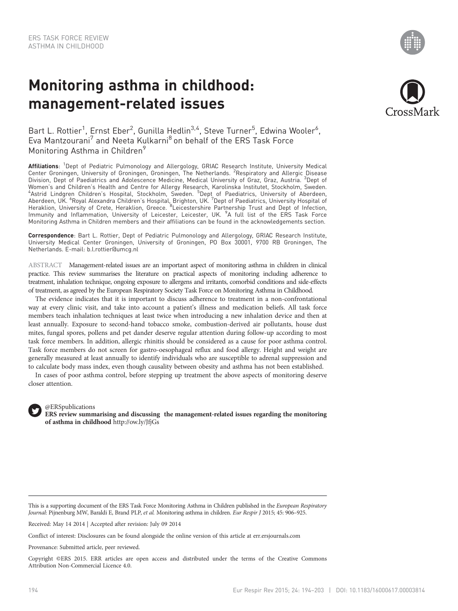# Monitoring asthma in childhood: management-related issues



Bart L. Rottier<sup>1</sup>, Ernst Eber<sup>2</sup>, Gunilla Hedlin<sup>3,4</sup>, Steve Turner<sup>5</sup>, Edwina Wooler<sup>6</sup>, Eva Mantzourani<sup>7</sup> and Neeta Kulkarni<sup>8</sup> on behalf of the ERS Task Force Monitoring Asthma in Children<sup>9</sup>

Affiliations: <sup>1</sup>Dept of Pediatric Pulmonology and Allergology, GRIAC Research Institute, University Medical Center Groningen, University of Groningen, Groningen, The Netherlands. <sup>2</sup>Respiratory and Allergic Disease Division, Dept of Paediatrics and Adolescence Medicine, Medical University of Graz, Graz, Austria. <sup>3</sup>Dept of Women's and Children's Health and Centre for Allergy Research, Karolinska Institutet, Stockholm, Sweden.<br>"Astrid Lindgren Children's Hospital, Stockholm, Sweden. <sup>5</sup>Dept of Paediatrics, University of Aberdeen,<br>Aberdeen, UK Immunity and Inflammation, University of Leicester, Leicester, UK. <sup>9</sup>A full list of the ERS Task Force Monitoring Asthma in Children members and their affiliations can be found in the acknowledgements section.

Correspondence: Bart L. Rottier, Dept of Pediatric Pulmonology and Allergology, GRIAC Research Institute, University Medical Center Groningen, University of Groningen, PO Box 30001, 9700 RB Groningen, The Netherlands. E-mail: [b.l.rottier@umcg.nl](mailto:b.l.rottier@umcg.nl)

ABSTRACT Management-related issues are an important aspect of monitoring asthma in children in clinical practice. This review summarises the literature on practical aspects of monitoring including adherence to treatment, inhalation technique, ongoing exposure to allergens and irritants, comorbid conditions and side-effects of treatment, as agreed by the European Respiratory Society Task Force on Monitoring Asthma in Childhood.

The evidence indicates that it is important to discuss adherence to treatment in a non-confrontational way at every clinic visit, and take into account a patient's illness and medication beliefs. All task force members teach inhalation techniques at least twice when introducing a new inhalation device and then at least annually. Exposure to second-hand tobacco smoke, combustion-derived air pollutants, house dust mites, fungal spores, pollens and pet dander deserve regular attention during follow-up according to most task force members. In addition, allergic rhinitis should be considered as a cause for poor asthma control. Task force members do not screen for gastro-oesophageal reflux and food allergy. Height and weight are generally measured at least annually to identify individuals who are susceptible to adrenal suppression and to calculate body mass index, even though causality between obesity and asthma has not been established.

In cases of poor asthma control, before stepping up treatment the above aspects of monitoring deserve closer attention.



# @ERSpublications

ERS review summarising and discussing the management-related issues regarding the monitoring of asthma in childhood <http://ow.ly/JfjGs>

This is a supporting document of the ERS Task Force Monitoring Asthma in Children published in the European Respiratory Journal: Pijnenburg MW, Baraldi E, Brand PLP, et al. Monitoring asthma in children. Eur Respir J 2015; 45: 906-925.

Received: May 14 2014 | Accepted after revision: July 09 2014

Conflict of interest: Disclosures can be found alongside the online version of this article at<err.ersjournals.com>

Provenance: Submitted article, peer reviewed.

Copyright ©ERS 2015. ERR articles are open access and distributed under the terms of the Creative Commons Attribution Non-Commercial Licence 4.0.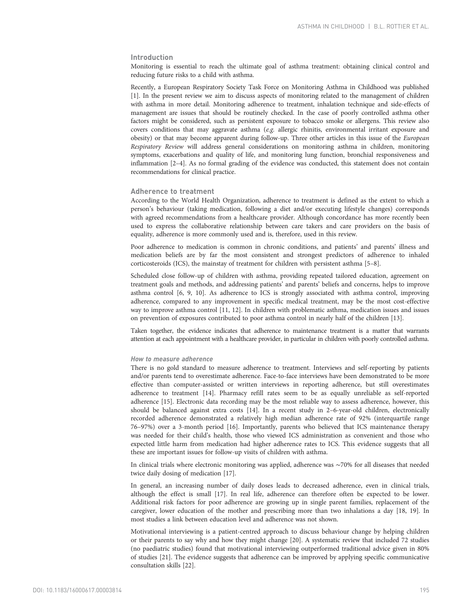# Introduction

Monitoring is essential to reach the ultimate goal of asthma treatment: obtaining clinical control and reducing future risks to a child with asthma.

Recently, a European Respiratory Society Task Force on Monitoring Asthma in Childhood was published [\[1](#page-6-0)]. In the present review we aim to discuss aspects of monitoring related to the management of children with asthma in more detail. Monitoring adherence to treatment, inhalation technique and side-effects of management are issues that should be routinely checked. In the case of poorly controlled asthma other factors might be considered, such as persistent exposure to tobacco smoke or allergens. This review also covers conditions that may aggravate asthma (e.g. allergic rhinitis, environmental irritant exposure and obesity) or that may become apparent during follow-up. Three other articles in this issue of the European Respiratory Review will address general considerations on monitoring asthma in children, monitoring symptoms, exacerbations and quality of life, and monitoring lung function, bronchial responsiveness and inflammation [[2](#page-6-0)–[4\]](#page-6-0). As no formal grading of the evidence was conducted, this statement does not contain recommendations for clinical practice.

## Adherence to treatment

According to the World Health Organization, adherence to treatment is defined as the extent to which a person's behaviour (taking medication, following a diet and/or executing lifestyle changes) corresponds with agreed recommendations from a healthcare provider. Although concordance has more recently been used to express the collaborative relationship between care takers and care providers on the basis of equality, adherence is more commonly used and is, therefore, used in this review.

Poor adherence to medication is common in chronic conditions, and patients' and parents' illness and medication beliefs are by far the most consistent and strongest predictors of adherence to inhaled corticosteroids (ICS), the mainstay of treatment for children with persistent asthma [\[5](#page-6-0)–[8](#page-6-0)].

Scheduled close follow-up of children with asthma, providing repeated tailored education, agreement on treatment goals and methods, and addressing patients' and parents' beliefs and concerns, helps to improve asthma control [\[6](#page-6-0), [9](#page-6-0), [10\]](#page-6-0). As adherence to ICS is strongly associated with asthma control, improving adherence, compared to any improvement in specific medical treatment, may be the most cost-effective way to improve asthma control [\[11](#page-6-0), [12](#page-6-0)]. In children with problematic asthma, medication issues and issues on prevention of exposures contributed to poor asthma control in nearly half of the children [[13](#page-6-0)].

Taken together, the evidence indicates that adherence to maintenance treatment is a matter that warrants attention at each appointment with a healthcare provider, in particular in children with poorly controlled asthma.

# How to measure adherence

There is no gold standard to measure adherence to treatment. Interviews and self-reporting by patients and/or parents tend to overestimate adherence. Face-to-face interviews have been demonstrated to be more effective than computer-assisted or written interviews in reporting adherence, but still overestimates adherence to treatment [[14](#page-6-0)]. Pharmacy refill rates seem to be as equally unreliable as self-reported adherence [[15](#page-6-0)]. Electronic data recording may be the most reliable way to assess adherence, however, this should be balanced against extra costs [[14\]](#page-6-0). In a recent study in 2–6-year-old children, electronically recorded adherence demonstrated a relatively high median adherence rate of 92% (interquartile range 76–97%) over a 3-month period [[16\]](#page-6-0). Importantly, parents who believed that ICS maintenance therapy was needed for their child's health, those who viewed ICS administration as convenient and those who expected little harm from medication had higher adherence rates to ICS. This evidence suggests that all these are important issues for follow-up visits of children with asthma.

In clinical trials where electronic monitoring was applied, adherence was ∼70% for all diseases that needed twice daily dosing of medication [[17](#page-6-0)].

In general, an increasing number of daily doses leads to decreased adherence, even in clinical trials, although the effect is small [\[17\]](#page-6-0). In real life, adherence can therefore often be expected to be lower. Additional risk factors for poor adherence are growing up in single parent families, replacement of the caregiver, lower education of the mother and prescribing more than two inhalations a day [\[18](#page-7-0), [19\]](#page-7-0). In most studies a link between education level and adherence was not shown.

Motivational interviewing is a patient-centred approach to discuss behaviour change by helping children or their parents to say why and how they might change [\[20\]](#page-7-0). A systematic review that included 72 studies (no paediatric studies) found that motivational interviewing outperformed traditional advice given in 80% of studies [[21](#page-7-0)]. The evidence suggests that adherence can be improved by applying specific communicative consultation skills [[22](#page-7-0)].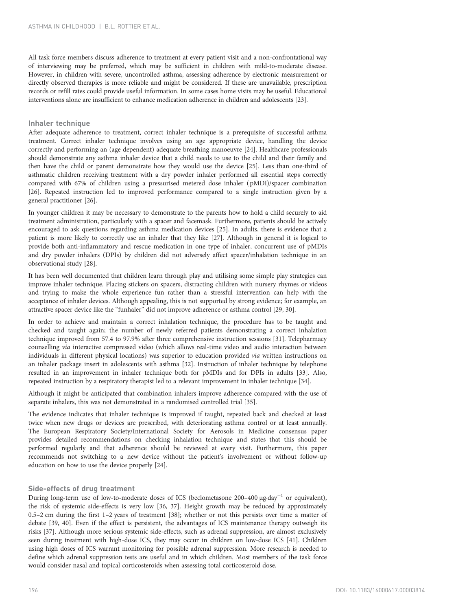All task force members discuss adherence to treatment at every patient visit and a non-confrontational way of interviewing may be preferred, which may be sufficient in children with mild-to-moderate disease. However, in children with severe, uncontrolled asthma, assessing adherence by electronic measurement or directly observed therapies is more reliable and might be considered. If these are unavailable, prescription records or refill rates could provide useful information. In some cases home visits may be useful. Educational interventions alone are insufficient to enhance medication adherence in children and adolescents [[23](#page-7-0)].

# Inhaler technique

After adequate adherence to treatment, correct inhaler technique is a prerequisite of successful asthma treatment. Correct inhaler technique involves using an age appropriate device, handling the device correctly and performing an (age dependent) adequate breathing manoeuvre [[24](#page-7-0)]. Healthcare professionals should demonstrate any asthma inhaler device that a child needs to use to the child and their family and then have the child or parent demonstrate how they would use the device [[25](#page-7-0)]. Less than one-third of asthmatic children receiving treatment with a dry powder inhaler performed all essential steps correctly compared with 67% of children using a pressurised metered dose inhaler ( pMDI)/spacer combination [[26\]](#page-7-0). Repeated instruction led to improved performance compared to a single instruction given by a general practitioner [[26](#page-7-0)].

In younger children it may be necessary to demonstrate to the parents how to hold a child securely to aid treatment administration, particularly with a spacer and facemask. Furthermore, patients should be actively encouraged to ask questions regarding asthma medication devices [\[25\]](#page-7-0). In adults, there is evidence that a patient is more likely to correctly use an inhaler that they like [[27](#page-7-0)]. Although in general it is logical to provide both anti-inflammatory and rescue medication in one type of inhaler, concurrent use of pMDIs and dry powder inhalers (DPIs) by children did not adversely affect spacer/inhalation technique in an observational study [\[28](#page-7-0)].

It has been well documented that children learn through play and utilising some simple play strategies can improve inhaler technique. Placing stickers on spacers, distracting children with nursery rhymes or videos and trying to make the whole experience fun rather than a stressful intervention can help with the acceptance of inhaler devices. Although appealing, this is not supported by strong evidence; for example, an attractive spacer device like the "funhaler" did not improve adherence or asthma control [\[29, 30\]](#page-7-0).

In order to achieve and maintain a correct inhalation technique, the procedure has to be taught and checked and taught again; the number of newly referred patients demonstrating a correct inhalation technique improved from 57.4 to 97.9% after three comprehensive instruction sessions [\[31\]](#page-7-0). Telepharmacy counselling via interactive compressed video (which allows real-time video and audio interaction between individuals in different physical locations) was superior to education provided via written instructions on an inhaler package insert in adolescents with asthma [[32](#page-7-0)]. Instruction of inhaler technique by telephone resulted in an improvement in inhaler technique both for pMDIs and for DPIs in adults [[33\]](#page-7-0). Also, repeated instruction by a respiratory therapist led to a relevant improvement in inhaler technique [\[34\]](#page-7-0).

Although it might be anticipated that combination inhalers improve adherence compared with the use of separate inhalers, this was not demonstrated in a randomised controlled trial [[35](#page-7-0)].

The evidence indicates that inhaler technique is improved if taught, repeated back and checked at least twice when new drugs or devices are prescribed, with deteriorating asthma control or at least annually. The European Respiratory Society/International Society for Aerosols in Medicine consensus paper provides detailed recommendations on checking inhalation technique and states that this should be performed regularly and that adherence should be reviewed at every visit. Furthermore, this paper recommends not switching to a new device without the patient's involvement or without follow-up education on how to use the device properly [\[24\]](#page-7-0).

# Side-effects of drug treatment

During long-term use of low-to-moderate doses of ICS (beclometasone 200–400 µg·day−<sup>1</sup> or equivalent), the risk of systemic side-effects is very low [\[36, 37](#page-7-0)]. Height growth may be reduced by approximately 0.5–2 cm during the first 1–2 years of treatment [\[38](#page-7-0)]; whether or not this persists over time a matter of debate [[39](#page-7-0), [40\]](#page-7-0). Even if the effect is persistent, the advantages of ICS maintenance therapy outweigh its risks [\[37](#page-7-0)]. Although more serious systemic side-effects, such as adrenal suppression, are almost exclusively seen during treatment with high-dose ICS, they may occur in children on low-dose ICS [[41\]](#page-7-0). Children using high doses of ICS warrant monitoring for possible adrenal suppression. More research is needed to define which adrenal suppression tests are useful and in which children. Most members of the task force would consider nasal and topical corticosteroids when assessing total corticosteroid dose.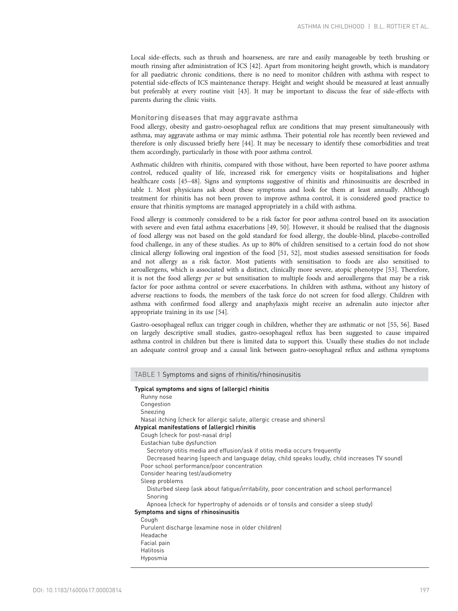Local side-effects, such as thrush and hoarseness, are rare and easily manageable by teeth brushing or mouth rinsing after administration of ICS [[42](#page-7-0)]. Apart from monitoring height growth, which is mandatory for all paediatric chronic conditions, there is no need to monitor children with asthma with respect to potential side-effects of ICS maintenance therapy. Height and weight should be measured at least annually but preferably at every routine visit [[43](#page-7-0)]. It may be important to discuss the fear of side-effects with parents during the clinic visits.

## Monitoring diseases that may aggravate asthma

Food allergy, obesity and gastro-oesophageal reflux are conditions that may present simultaneously with asthma, may aggravate asthma or may mimic asthma. Their potential role has recently been reviewed and therefore is only discussed briefly here [[44](#page-7-0)]. It may be necessary to identify these comorbidities and treat them accordingly, particularly in those with poor asthma control.

Asthmatic children with rhinitis, compared with those without, have been reported to have poorer asthma control, reduced quality of life, increased risk for emergency visits or hospitalisations and higher healthcare costs [\[45](#page-7-0)–[48\]](#page-7-0). Signs and symptoms suggestive of rhinitis and rhinosinusitis are described in table 1. Most physicians ask about these symptoms and look for them at least annually. Although treatment for rhinitis has not been proven to improve asthma control, it is considered good practice to ensure that rhinitis symptoms are managed appropriately in a child with asthma.

Food allergy is commonly considered to be a risk factor for poor asthma control based on its association with severe and even fatal asthma exacerbations [[49](#page-7-0), [50\]](#page-7-0). However, it should be realised that the diagnosis of food allergy was not based on the gold standard for food allergy, the double-blind, placebo-controlled food challenge, in any of these studies. As up to 80% of children sensitised to a certain food do not show clinical allergy following oral ingestion of the food [\[51](#page-7-0), [52](#page-7-0)], most studies assessed sensitisation for foods and not allergy as a risk factor. Most patients with sensitisation to foods are also sensitised to aeroallergens, which is associated with a distinct, clinically more severe, atopic phenotype [[53](#page-7-0)]. Therefore, it is not the food allergy per se but sensitisation to multiple foods and aeroallergens that may be a risk factor for poor asthma control or severe exacerbations. In children with asthma, without any history of adverse reactions to foods, the members of the task force do not screen for food allergy. Children with asthma with confirmed food allergy and anaphylaxis might receive an adrenalin auto injector after appropriate training in its use [[54](#page-7-0)].

Gastro-oesophageal reflux can trigger cough in children, whether they are asthmatic or not [[55](#page-8-0), [56\]](#page-8-0). Based on largely descriptive small studies, gastro-oesophageal reflux has been suggested to cause impaired asthma control in children but there is limited data to support this. Usually these studies do not include an adequate control group and a causal link between gastro-oesophageal reflux and asthma symptoms

| TABLE 1 Symptoms and signs of rhinitis/rhinosinusitis                                                                                                                                                                                                                                                        |
|--------------------------------------------------------------------------------------------------------------------------------------------------------------------------------------------------------------------------------------------------------------------------------------------------------------|
| Typical symptoms and signs of (allergic) rhinitis<br>Runny nose<br>Congestion<br>Sneezing<br>Nasal itching (check for allergic salute, allergic crease and shiners)<br>Atypical manifestations of (allergic) rhinitis<br>Cough (check for post-nasal drip)                                                   |
| Eustachian tube dysfunction<br>Secretory otitis media and effusion/ask if otitis media occurs frequently<br>Decreased hearing (speech and language delay, child speaks loudly, child increases TV sound)<br>Poor school performance/poor concentration<br>Consider hearing test/audiometry<br>Sleep problems |
| Disturbed sleep (ask about fatigue/irritability, poor concentration and school performance)<br>Snoring<br>Apnoea (check for hypertrophy of adenoids or of tonsils and consider a sleep study)                                                                                                                |
| Symptoms and signs of rhinosinusitis                                                                                                                                                                                                                                                                         |
| Cough<br>Purulent discharge (examine nose in older children)<br>Headache<br>Facial pain<br>Halitosis<br>Hyposmia                                                                                                                                                                                             |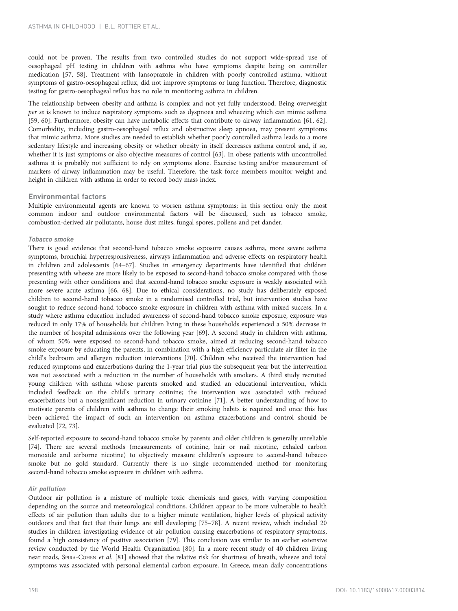could not be proven. The results from two controlled studies do not support wide-spread use of oesophageal pH testing in children with asthma who have symptoms despite being on controller medication [[57](#page-8-0), [58](#page-8-0)]. Treatment with lansoprazole in children with poorly controlled asthma, without symptoms of gastro-oesophageal reflux, did not improve symptoms or lung function. Therefore, diagnostic testing for gastro-oesophageal reflux has no role in monitoring asthma in children.

The relationship between obesity and asthma is complex and not yet fully understood. Being overweight per se is known to induce respiratory symptoms such as dyspnoea and wheezing which can mimic asthma [[59, 60](#page-8-0)]. Furthermore, obesity can have metabolic effects that contribute to airway inflammation [[61](#page-8-0), [62](#page-8-0)]. Comorbidity, including gastro-oesophageal reflux and obstructive sleep apnoea, may present symptoms that mimic asthma. More studies are needed to establish whether poorly controlled asthma leads to a more sedentary lifestyle and increasing obesity or whether obesity in itself decreases asthma control and, if so, whether it is just symptoms or also objective measures of control [[63](#page-8-0)]. In obese patients with uncontrolled asthma it is probably not sufficient to rely on symptoms alone. Exercise testing and/or measurement of markers of airway inflammation may be useful. Therefore, the task force members monitor weight and height in children with asthma in order to record body mass index.

## Environmental factors

Multiple environmental agents are known to worsen asthma symptoms; in this section only the most common indoor and outdoor environmental factors will be discussed, such as tobacco smoke, combustion-derived air pollutants, house dust mites, fungal spores, pollens and pet dander.

### Tobacco smoke

There is good evidence that second-hand tobacco smoke exposure causes asthma, more severe asthma symptoms, bronchial hyperresponsiveness, airways inflammation and adverse effects on respiratory health in children and adolescents [[64](#page-8-0)–[67\]](#page-8-0). Studies in emergency departments have identified that children presenting with wheeze are more likely to be exposed to second-hand tobacco smoke compared with those presenting with other conditions and that second-hand tobacco smoke exposure is weakly associated with more severe acute asthma [[66](#page-8-0), [68\]](#page-8-0). Due to ethical considerations, no study has deliberately exposed children to second-hand tobacco smoke in a randomised controlled trial, but intervention studies have sought to reduce second-hand tobacco smoke exposure in children with asthma with mixed success. In a study where asthma education included awareness of second-hand tobacco smoke exposure, exposure was reduced in only 17% of households but children living in these households experienced a 50% decrease in the number of hospital admissions over the following year [\[69](#page-8-0)]. A second study in children with asthma, of whom 50% were exposed to second-hand tobacco smoke, aimed at reducing second-hand tobacco smoke exposure by educating the parents, in combination with a high efficiency particulate air filter in the child's bedroom and allergen reduction interventions [[70](#page-8-0)]. Children who received the intervention had reduced symptoms and exacerbations during the 1-year trial plus the subsequent year but the intervention was not associated with a reduction in the number of households with smokers. A third study recruited young children with asthma whose parents smoked and studied an educational intervention, which included feedback on the child's urinary cotinine; the intervention was associated with reduced exacerbations but a nonsignificant reduction in urinary cotinine [[71](#page-8-0)]. A better understanding of how to motivate parents of children with asthma to change their smoking habits is required and once this has been achieved the impact of such an intervention on asthma exacerbations and control should be evaluated [\[72, 73](#page-8-0)].

Self-reported exposure to second-hand tobacco smoke by parents and older children is generally unreliable [[74\]](#page-8-0). There are several methods (measurements of cotinine, hair or nail nicotine, exhaled carbon monoxide and airborne nicotine) to objectively measure children's exposure to second-hand tobacco smoke but no gold standard. Currently there is no single recommended method for monitoring second-hand tobacco smoke exposure in children with asthma.

## Air pollution

Outdoor air pollution is a mixture of multiple toxic chemicals and gases, with varying composition depending on the source and meteorological conditions. Children appear to be more vulnerable to health effects of air pollution than adults due to a higher minute ventilation, higher levels of physical activity outdoors and that fact that their lungs are still developing [[75](#page-8-0)–[78\]](#page-8-0). A recent review, which included 20 studies in children investigating evidence of air pollution causing exacerbations of respiratory symptoms, found a high consistency of positive association [\[79\]](#page-8-0). This conclusion was similar to an earlier extensive review conducted by the World Health Organization [[80\]](#page-8-0). In a more recent study of 40 children living near roads, SPIRA-COHEN et al. [[81](#page-8-0)] showed that the relative risk for shortness of breath, wheeze and total symptoms was associated with personal elemental carbon exposure. In Greece, mean daily concentrations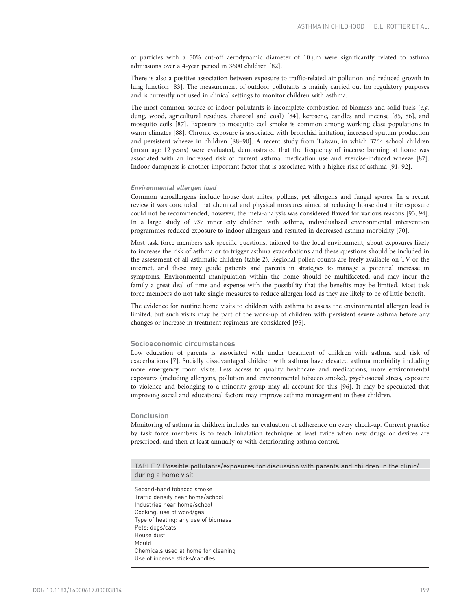of particles with a 50% cut-off aerodynamic diameter of 10 μm were significantly related to asthma admissions over a 4-year period in 3600 children [\[82\]](#page-8-0).

There is also a positive association between exposure to traffic-related air pollution and reduced growth in lung function [[83](#page-8-0)]. The measurement of outdoor pollutants is mainly carried out for regulatory purposes and is currently not used in clinical settings to monitor children with asthma.

The most common source of indoor pollutants is incomplete combustion of biomass and solid fuels (e.g. dung, wood, agricultural residues, charcoal and coal) [\[84\]](#page-8-0), kerosene, candles and incense [[85](#page-8-0), [86\]](#page-8-0), and mosquito coils [[87](#page-8-0)]. Exposure to mosquito coil smoke is common among working class populations in warm climates [[88](#page-8-0)]. Chronic exposure is associated with bronchial irritation, increased sputum production and persistent wheeze in children [\[88](#page-8-0)–[90](#page-8-0)]. A recent study from Taiwan, in which 3764 school children (mean age 12 years) were evaluated, demonstrated that the frequency of incense burning at home was associated with an increased risk of current asthma, medication use and exercise-induced wheeze [[87](#page-8-0)]. Indoor dampness is another important factor that is associated with a higher risk of asthma [\[91, 92\]](#page-9-0).

## Environmental allergen load

Common aeroallergens include house dust mites, pollens, pet allergens and fungal spores. In a recent review it was concluded that chemical and physical measures aimed at reducing house dust mite exposure could not be recommended; however, the meta-analysis was considered flawed for various reasons [\[93](#page-9-0), [94](#page-9-0)]. In a large study of 937 inner city children with asthma, individualised environmental intervention programmes reduced exposure to indoor allergens and resulted in decreased asthma morbidity [[70](#page-8-0)].

Most task force members ask specific questions, tailored to the local environment, about exposures likely to increase the risk of asthma or to trigger asthma exacerbations and these questions should be included in the assessment of all asthmatic children (table 2). Regional pollen counts are freely available on TV or the internet, and these may guide patients and parents in strategies to manage a potential increase in symptoms. Environmental manipulation within the home should be multifaceted, and may incur the family a great deal of time and expense with the possibility that the benefits may be limited. Most task force members do not take single measures to reduce allergen load as they are likely to be of little benefit.

The evidence for routine home visits to children with asthma to assess the environmental allergen load is limited, but such visits may be part of the work-up of children with persistent severe asthma before any changes or increase in treatment regimens are considered [[95](#page-9-0)].

#### Socioeconomic circumstances

Low education of parents is associated with under treatment of children with asthma and risk of exacerbations [[7](#page-6-0)]. Socially disadvantaged children with asthma have elevated asthma morbidity including more emergency room visits. Less access to quality healthcare and medications, more environmental exposures (including allergens, pollution and environmental tobacco smoke), psychosocial stress, exposure to violence and belonging to a minority group may all account for this [96]. It may be speculated that improving social and educational factors may improve asthma management in these children.

# Conclusion

Monitoring of asthma in children includes an evaluation of adherence on every check-up. Current practice by task force members is to teach inhalation technique at least twice when new drugs or devices are prescribed, and then at least annually or with deteriorating asthma control.

TABLE 2 Possible pollutants/exposures for discussion with parents and children in the clinic/ during a home visit

Second-hand tobacco smoke Traffic density near home/school Industries near home/school Cooking: use of wood/gas Type of heating: any use of biomass Pets: dogs/cats House dust Mould Chemicals used at home for cleaning Use of incense sticks/candles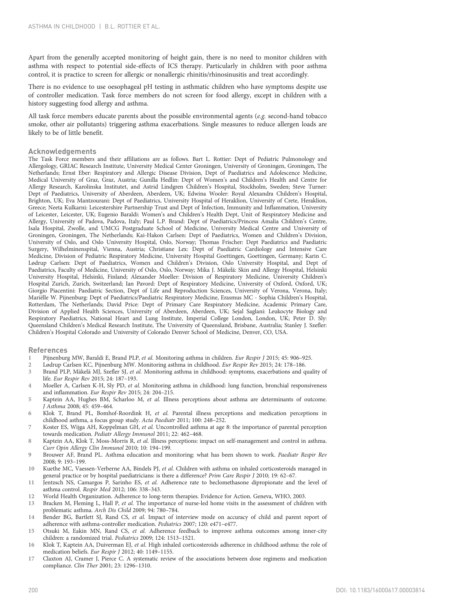<span id="page-6-0"></span>Apart from the generally accepted monitoring of height gain, there is no need to monitor children with asthma with respect to potential side-effects of ICS therapy. Particularly in children with poor asthma control, it is practice to screen for allergic or nonallergic rhinitis/rhinosinusitis and treat accordingly.

There is no evidence to use oesophageal pH testing in asthmatic children who have symptoms despite use of controller medication. Task force members do not screen for food allergy, except in children with a history suggesting food allergy and asthma.

All task force members educate parents about the possible environmental agents (e.g. second-hand tobacco smoke, other air pollutants) triggering asthma exacerbations. Single measures to reduce allergen loads are likely to be of little benefit.

## Acknowledgements

The Task Force members and their affiliations are as follows. Bart L. Rottier: Dept of Pediatric Pulmonology and Allergology, GRIAC Research Institute, University Medical Center Groningen, University of Groningen, Groningen, The Netherlands; Ernst Eber: Respiratory and Allergic Disease Division, Dept of Paediatrics and Adolescence Medicine, Medical University of Graz, Graz, Austria; Gunilla Hedlin: Dept of Women's and Children's Health and Centre for Allergy Research, Karolinska Institutet, and Astrid Lindgren Children's Hospital, Stockholm, Sweden; Steve Turner: Dept of Paediatrics, University of Aberdeen, Aberdeen, UK; Edwina Wooler: Royal Alexandra Children's Hospital, Brighton, UK; Eva Mantzourani: Dept of Paediatrics, University Hospital of Heraklion, University of Crete, Heraklion, Greece; Neeta Kulkarni: Leicestershire Partnership Trust and Dept of Infection, Immunity and Inflammation, University of Leicester, Leicester, UK; Eugenio Baraldi: Women's and Children's Health Dept, Unit of Respiratory Medicine and Allergy, University of Padova, Padova, Italy; Paul L.P. Brand: Dept of Paediatrics/Princess Amalia Children's Centre, Isala Hospital, Zwolle, and UMCG Postgraduate School of Medicine, University Medical Centre and University of Groningen, Groningen, The Netherlands; Kai-Hakon Carlsen: Dept of Paediatrics, Women and Children's Division, University of Oslo, and Oslo University Hospital, Oslo, Norway; Thomas Frischer: Dept Paediatrics and Paediatric Surgery, Wilhelminenspital, Vienna, Austria; Christiane Lex: Dept of Paediatric Cardiology and Intensive Care Medicine, Division of Pediatric Respiratory Medicine, University Hospital Goettingen, Goettingen, Germany; Karin C. Lødrup Carlsen: Dept of Paediatrics, Women and Children's Division, Oslo University Hospital, and Dept of Paediatrics, Faculty of Medicine, University of Oslo, Oslo, Norway; Mika J. Mäkelä: Skin and Allergy Hospital, Helsinki University Hospital, Helsinki, Finland; Alexander Moeller: Division of Respiratory Medicine, University Children's Hospital Zurich, Zurich, Switzerland; Ian Pavord: Dept of Respiratory Medicine, University of Oxford, Oxford, UK; Giorgio Piacentini: Paediatric Section, Dept of Life and Reproduction Sciences, University of Verona, Verona, Italy; Mariëlle W. Pijnenburg: Dept of Paediatrics/Paediatric Respiratory Medicine, Erasmus MC - Sophia Children's Hospital, Rotterdam, The Netherlands; David Price: Dept of Primary Care Respiratory Medicine, Academic Primary Care, Division of Applied Health Sciences, University of Aberdeen, Aberdeen, UK; Sejal Saglani: Leukocyte Biology and Respiratory Paediatrics, National Heart and Lung Institute, Imperial College London, London, UK; Peter D. Sly: Queensland Children's Medical Research Institute, The University of Queensland, Brisbane, Australia; Stanley J. Szefler: Children's Hospital Colorado and University of Colorado Denver School of Medicine, Denver, CO, USA.

## References

- 1 Pijnenburg MW, Baraldi E, Brand PLP, et al. Monitoring asthma in children. Eur Respir J 2015; 45: 906–925.
- 2 Lødrup Carlsen KC, Pijnenburg MW. Monitoring asthma in childhood. Eur Respir Rev 2015; 24: 178–186.
- 3 Brand PLP, Mäkelä MJ, Szefler SJ, et al. Monitoring asthma in childhood: symptoms, exacerbations and quality of life. Eur Respir Rev 2015; 24: 187–193.
- 4 Moeller A, Carlsen K-H, Sly PD, et al. Monitoring asthma in childhood: lung function, bronchial responsiveness and inflammation. Eur Respir Rev 2015; 24: 204–215.
- 5 Kaptein AA, Hughes BM, Scharloo M, et al. Illness perceptions about asthma are determinants of outcome. J Asthma 2008; 45: 459–464.
- 6 Klok T, Brand PL, Bomhof-Roordink H, et al. Parental illness perceptions and medication perceptions in childhood asthma, a focus group study. Acta Paediatr 2011; 100: 248–252.
- Koster ES, Wijga AH, Koppelman GH, et al. Uncontrolled asthma at age 8: the importance of parental perception towards medication. Pediatr Allergy Immunol 2011; 22: 462–468.
- 8 Kaptein AA, Klok T, Moss-Morris R, et al. Illness perceptions: impact on self-management and control in asthma. Curr Opin Allergy Clin Immunol 2010; 10: 194–199.
- 9 Brouwer AF, Brand PL. Asthma education and monitoring: what has been shown to work. Paediatr Respir Rev 2008; 9: 193–199.
- 10 Kuethe MC, Vaessen-Verberne AA, Bindels PJ, et al. Children with asthma on inhaled corticosteroids managed in general practice or by hospital paediatricians: is there a difference? Prim Care Respir J 2010; 19: 62–67.
- 11 Jentzsch NS, Camargos P, Sarinho ES, et al. Adherence rate to beclomethasone dipropionate and the level of asthma control. Respir Med 2012; 106: 338–343.
- 12 World Health Organization. Adherence to long-term therapies. Evidence for Action. Geneva, WHO, 2003.
- 13 Bracken M, Fleming L, Hall P, et al. The importance of nurse-led home visits in the assessment of children with problematic asthma. Arch Dis Child 2009; 94: 780–784.
- 14 Bender BG, Bartlett SJ, Rand CS, et al. Impact of interview mode on accuracy of child and parent report of adherence with asthma-controller medication. Pediatrics 2007; 120: e471–e477.
- 15 Otsuki M, Eakin MN, Rand CS, et al. Adherence feedback to improve asthma outcomes among inner-city children: a randomized trial. Pediatrics 2009; 124: 1513–1521.
- 16 Klok T, Kaptein AA, Duiverman EJ, et al. High inhaled corticosteroids adherence in childhood asthma: the role of medication beliefs. Eur Respir J 2012; 40: 1149–1155.
- 17 Claxton AJ, Cramer J, Pierce C. A systematic review of the associations between dose regimens and medication compliance. Clin Ther 2001; 23: 1296–1310.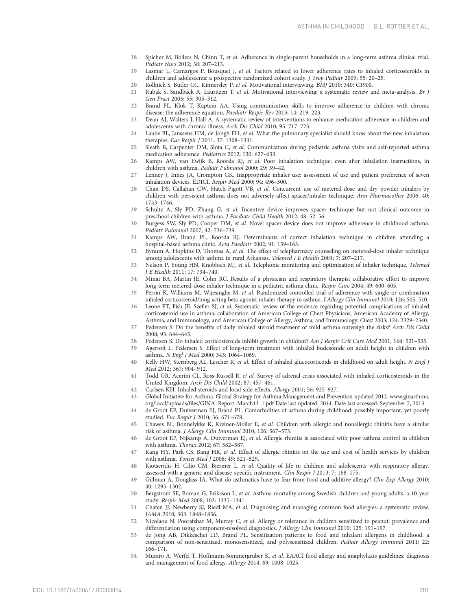- <span id="page-7-0"></span>18 Spicher M, Bollers N, Chinn T, et al. Adherence in single-parent households in a long-term asthma clinical trial. Pediatr Nurs 2012; 38: 207–213.
- 19 Lasmar L, Camargos P, Bousquet J, et al. Factors related to lower adherence rates to inhaled corticosteroids in children and adolescents: a prospective randomized cohort study. J Trop Pediatr 2009; 55: 20–25.
- 20 Rollnick S, Butler CC, Kinnersley P, *et al. Motivational interviewing. BMJ* 2010; 340: C1900.<br>21 Rubak S, Sandback A. Lauritzen T, *et al. Motivational interviewing*: a systematic review a
- 21 Rubak S, Sandbaek A, Lauritzen T, et al. Motivational interviewing: a systematic review and meta-analysis. Br J Gen Pract 2005; 55: 305–312.
- 22 Brand PL, Klok T, Kaptein AA. Using communication skills to improve adherence in children with chronic disease: the adherence equation. Paediatr Respir Rev 2013; 14: 219–223.
- 23 Dean AJ, Walters J, Hall A. A systematic review of interventions to enhance medication adherence in children and adolescents with chronic illness. Arch Dis Child 2010; 95: 717–723.
- 24 Laube BL, Janssens HM, de Jongh FH, et al. What the pulmonary specialist should know about the new inhalation therapies. Eur Respir J 2011; 37: 1308–1331.
- 25 Sleath B, Carpenter DM, Slota C, et al. Communication during pediatric asthma visits and self-reported asthma medication adherence. Pediatrics 2012; 130: 627–633.
- 26 Kamps AW, van Ewijk B, Roorda RJ, et al. Poor inhalation technique, even after inhalation instructions, in children with asthma. Pediatr Pulmonol 2000; 29: 39–42.
- 27 Lenney J, Innes JA, Crompton GK. Inappropriate inhaler use: assessment of use and patient preference of seven inhalation devices. EDICI. Respir Med 2000; 94: 496–500.
- 28 Chan DS, Callahan CW, Hatch-Pigott VB, et al. Concurrent use of metered-dose and dry powder inhalers by children with persistent asthma does not adversely affect spacer/inhaler technique. Ann Pharmacother 2006; 40: 1743–1746.
- 29 Schultz A, Sly PD, Zhang G, et al. Incentive device improves spacer technique but not clinical outcome in preschool children with asthma. J Paediatr Child Health 2012; 48: 52–56.
- 30 Burgess SW, Sly PD, Cooper DM, et al. Novel spacer device does not improve adherence in childhood asthma. Pediatr Pulmonol 2007; 42: 736–739.
- 31 Kamps AW, Brand PL, Roorda RJ. Determinants of correct inhalation technique in children attending a hospital-based asthma clinic. Acta Paediatr 2002; 91: 159–163.
- 32 Bynum A, Hopkins D, Thomas A, et al. The effect of telepharmacy counseling on metered-dose inhaler technique among adolescents with asthma in rural Arkansas. Telemed J E Health 2001; 7: 207–217.
- 33 Nelson P, Young HN, Knobloch MJ, et al. Telephonic monitoring and optimization of inhaler technique. Telemed J E Health 2011; 17: 734–740.
- 34 Minai BA, Martin JE, Cohn RC. Results of a physician and respiratory therapist collaborative effort to improve long-term metered-dose inhaler technique in a pediatric asthma clinic. Respir Care 2004; 49: 600–605.
- 35 Perrin K, Williams M, Wijesinghe M, et al. Randomized controlled trial of adherence with single or combination inhaled corticosteroid/long-acting beta-agonist inhaler therapy in asthma. J Allergy Clin Immunol 2010; 126: 505–510.
- 36 Leone FT, Fish JE, Szefler SJ, et al. Systematic review of the evidence regarding potential complications of inhaled corticosteroid use in asthma: collaboration of American College of Chest Physicians, American Academy of Allergy, Asthma, and Immunology, and American College of Allergy, Asthma, and Immunology. Chest 2003; 124: 2329–2340. 37 Pedersen S. Do the benefits of daily inhaled steroid treatment of mild asthma outweigh the risks? Arch Dis Child
- 2008; 93: 644–645.
- 38 Pedersen S. Do inhaled corticosteroids inhibit growth in children? Am J Respir Crit Care Med 2001; 164: 521–535.
- 39 Agertoft L, Pedersen S. Effect of long-term treatment with inhaled budesonide on adult height in children with asthma. N Engl J Med 2000; 343: 1064–1069.
- 40 Kelly HW, Sternberg AL, Lescher R, et al. Effect of inhaled glucocorticoids in childhood on adult height. N Engl J Med 2012; 367: 904–912.
- 41 Todd GR, Acerini CL, Ross-Russell R, et al. Survey of adrenal crisis associated with inhaled corticosteroids in the United Kingdom. Arch Dis Child 2002; 87: 457–461.
- 42 Carlsen KH. Inhaled steroids and local side-effects. Allergy 2001; 56: 925–927.
- 43 Global Initiative for Asthma. Global Strategy for Asthma Management and Prevention updated 2012. [www.ginasthma.](http://www.ginasthma.org/local/uploads/files/GINA_Report_March13_1.pdf) [org/local/uploads/files/GINA\\_Report\\_March13\\_1.pdf](http://www.ginasthma.org/local/uploads/files/GINA_Report_March13_1.pdf) Date last updated: 2014. Date last accessed: September 7, 2013.
- 44 de Groot EP, Duiverman EJ, Brand PL. Comorbidities of asthma during childhood: possibly important, yet poorly studied. Eur Respir J 2010; 36: 671–678.
- 45 Chawes BL, Bonnelykke K, Kreiner-Moller E, et al. Children with allergic and nonallergic rhinitis have a similar risk of asthma. J Allergy Clin Immunol 2010; 126: 567–573.
- 46 de Groot EP, Nijkamp A, Duiverman EJ, et al. Allergic rhinitis is associated with poor asthma control in children with asthma. Thorax 2012; 67: 582–587.
- 47 Kang HY, Park CS, Bang HR, et al. Effect of allergic rhinitis on the use and cost of health services by children with asthma. Yonsei Med J 2008; 49: 521–529.
- 48 Kiotseridis H, Cilio CM, Bjermer L, et al. Quality of life in children and adolescents with respiratory allergy, assessed with a generic and disease-specific instrument. Clin Respir J 2013; 7: 168–175.
- 49 Gillman A, Douglass JA. What do asthmatics have to fear from food and additive allergy? Clin Exp Allergy 2010; 40: 1295–1302.
- 50 Bergstrom SE, Boman G, Eriksson L, et al. Asthma mortality among Swedish children and young adults, a 10-year study. Respir Med 2008; 102: 1335–1341.
- 51 Chafen JJ, Newberry SJ, Riedl MA, et al. Diagnosing and managing common food allergies: a systematic review. JAMA 2010; 303: 1848–1856.
- 52 Nicolaou N, Poorafshar M, Murray C, et al. Allergy or tolerance in children sensitized to peanut: prevalence and differentiation using component-resolved diagnostics. J Allergy Clin Immunol 2010; 125: 191–197.
- 53 de Jong AB, Dikkeschei LD, Brand PL. Sensitization patterns to food and inhalant allergens in childhood: a comparison of non-sensitized, monosensitized, and polysensitized children. Pediatr Allergy Immunol 2011; 22: 166–171.
- 54 Muraro A, Werfel T, Hoffmann-Sommergruber K, et al. EAACI food allergy and anaphylaxis guidelines: diagnosis and management of food allergy. Allergy 2014; 69: 1008–1025.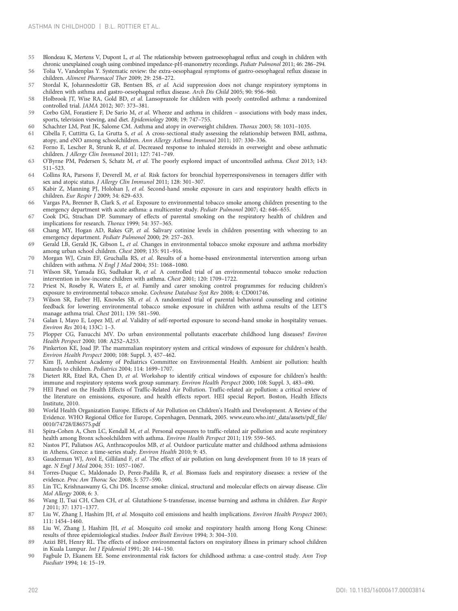- <span id="page-8-0"></span>55 Blondeau K, Mertens V, Dupont L, et al. The relationship between gastroesophageal reflux and cough in children with chronic unexplained cough using combined impedance-pH-manometry recordings. Pediatr Pulmonol 2011; 46: 286–294.
- 56 Tolia V, Vandenplas Y. Systematic review: the extra-oesophageal symptoms of gastro-oesophageal reflux disease in children. Aliment Pharmacol Ther 2009; 29: 258–272.
- Stordal K, Johannesdottir GB, Bentsen BS, et al. Acid suppression does not change respiratory symptoms in children with asthma and gastro-oesophageal reflux disease. Arch Dis Child 2005; 90: 956–960.
- 58 Holbrook JT, Wise RA, Gold BD, et al. Lansoprazole for children with poorly controlled asthma: a randomized controlled trial. JAMA 2012; 307: 373–381.
- 59 Corbo GM, Forastiere F, De Sario M, et al. Wheeze and asthma in children associations with body mass index, sports, television viewing, and diet. Epidemiology 2008; 19: 747–755.
- 60 Schachter LM, Peat JK, Salome CM. Asthma and atopy in overweight children. Thorax 2003; 58: 1031–1035.
- 61 Cibella F, Cuttitta G, La Grutta S, et al. A cross-sectional study assessing the relationship between BMI, asthma, atopy, and eNO among schoolchildren. Ann Allergy Asthma Immunol 2011; 107: 330–336.
- 62 Forno E, Lescher R, Strunk R, et al. Decreased response to inhaled steroids in overweight and obese asthmatic children. J Allergy Clin Immunol 2011; 127: 741–749.
- 63 O'Byrne PM, Pedersen S, Schatz M, et al. The poorly explored impact of uncontrolled asthma. Chest 2013; 143: 511–523.
- 64 Collins RA, Parsons F, Deverell M, et al. Risk factors for bronchial hyperresponsiveness in teenagers differ with sex and atopic status. J Allergy Clin Immunol 2011; 128: 301–307.
- 65 Kabir Z, Manning PJ, Holohan J, et al. Second-hand smoke exposure in cars and respiratory health effects in children. Eur Respir J 2009; 34: 629–633.
- 66 Vargas PA, Brenner B, Clark S, et al. Exposure to environmental tobacco smoke among children presenting to the emergency department with acute asthma: a multicenter study. Pediatr Pulmonol 2007; 42: 646-655.
- 67 Cook DG, Strachan DP. Summary of effects of parental smoking on the respiratory health of children and implications for research. Thorax 1999; 54: 357–365.
- 68 Chang MY, Hogan AD, Rakes GP, et al. Salivary cotinine levels in children presenting with wheezing to an emergency department. Pediatr Pulmonol 2000; 29: 257–263.
- 69 Gerald LB, Gerald JK, Gibson L, et al. Changes in environmental tobacco smoke exposure and asthma morbidity among urban school children. Chest 2009; 135: 911–916.
- 70 Morgan WJ, Crain EF, Gruchalla RS, et al. Results of a home-based environmental intervention among urban children with asthma. N Engl J Med 2004; 351: 1068–1080.
- Wilson SR, Yamada EG, Sudhakar R, et al. A controlled trial of an environmental tobacco smoke reduction intervention in low-income children with asthma. Chest 2001; 120: 1709–1722.
- 72 Priest N, Roseby R, Waters E, et al. Family and carer smoking control programmes for reducing children's exposure to environmental tobacco smoke. Cochrane Database Syst Rev 2008; 4: CD001746.
- 73 Wilson SR, Farber HJ, Knowles SB, et al. A randomized trial of parental behavioral counseling and cotinine feedback for lowering environmental tobacco smoke exposure in children with asthma results of the LET'S manage asthma trial. Chest 2011; 139: 581–590.
- 74 Galan I, Mayo E, Lopez MJ, et al. Validity of self-reported exposure to second-hand smoke in hospitality venues. Environ Res 2014; 133C: 1–3.
- 75 Plopper CG, Fanucchi MV. Do urban environmental pollutants exacerbate childhood lung diseases? Environ Health Perspect 2000; 108: A252–A253.
- 76 Pinkerton KE, Joad JP. The mammalian respiratory system and critical windows of exposure for children's health. Environ Health Perspect 2000; 108: Suppl. 3, 457–462.
- Kim JJ, Ambient Academy of Pediatrics Committee on Environmental Health. Ambient air pollution: health hazards to children. Pediatrics 2004; 114: 1699–1707.
- 78 Dietert RR, Etzel RA, Chen D, et al. Workshop to identify critical windows of exposure for children's health: immune and respiratory systems work group summary. Environ Health Perspect 2000; 108: Suppl. 3, 483–490.
- 79 HEI Panel on the Health Effects of Traffic-Related Air Pollution. Traffic-related air pollution: a critical review of the literature on emissions, exposure, and health effects report. HEI special Report. Boston, Health Effects Institute, 2010.
- 80 World Health Organization Europe. Effects of Air Pollution on Children's Health and Development. A Review of the Evidence. WHO Regional Office for Europe, Copenhagen, Denmark, 2005. [www.euro.who.int/\\_data/assets/pdf\\_file/](http://www.euro.who.int/_data/assets/pdf_file/0010/74728/E86575.pdf) [0010/74728/E86575.pdf](http://www.euro.who.int/_data/assets/pdf_file/0010/74728/E86575.pdf)
- 81 Spira-Cohen A, Chen LC, Kendall M, et al. Personal exposures to traffic-related air pollution and acute respiratory health among Bronx schoolchildren with asthma. Environ Health Perspect 2011; 119: 559–565.
- 82 Nastos PT, Paliatsos AG, Anthracopoulos MB, et al. Outdoor particulate matter and childhood asthma admissions in Athens, Greece: a time-series study. Environ Health 2010; 9: 45.
- 83 Gauderman WJ, Avol E, Gilliland F, et al. The effect of air pollution on lung development from 10 to 18 years of age. N Engl J Med 2004; 351: 1057–1067.
- 84 Torres-Duque C, Maldonado D, Perez-Padilla R, et al. Biomass fuels and respiratory diseases: a review of the evidence. Proc Am Thorac Soc 2008; 5: 577–590.
- 85 Lin TC, Krishnaswamy G, Chi DS. Incense smoke: clinical, structural and molecular effects on airway disease. Clin Mol Allergy 2008; 6: 3.
- 86 Wang IJ, Tsai CH, Chen CH, et al. Glutathione S-transferase, incense burning and asthma in children. Eur Respir J 2011; 37: 1371–1377.
- 87 Liu W, Zhang J, Hashim JH, et al. Mosquito coil emissions and health implications. Environ Health Perspect 2003; 111: 1454–1460.
- 88 Liu W, Zhang J, Hashim JH, et al. Mosquito coil smoke and respiratory health among Hong Kong Chinese: results of three epidemiological studies. Indoor Built Environ 1994; 3: 304–310.
- 89 Azizi BH, Henry RL. The effects of indoor environmental factors on respiratory illness in primary school children in Kuala Lumpur. Int J Epidemiol 1991; 20: 144–150.
- 90 Fagbule D, Ekanem EE. Some environmental risk factors for childhood asthma: a case-control study. Ann Trop Paediatr 1994; 14: 15–19.